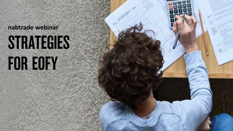### **nabtrade webinar** STRATEGIES

# FOR EOFY

1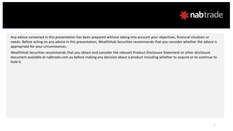

Any advice contained in this presentation has been prepared without taking into account your objectives, financial situation or needs. Before acting on any advice in this presentation, WealthHub Securities recommends that you consider whether the advice is appropriate for your circumstances.

WealthHub Securities recommends that you obtain and consider the relevant Product Disclosure Statement or other disclosure document available at nabtrade.com.au before making any decision about a product including whether to acquire or to continue to hold it.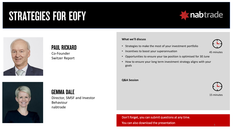#### **STRATEGIES FOR EOFY**





#### **PAUL RICKARD**

Co-Founder Switzer Report

#### **What we'll discuss**

- Strategies to make the most of your investment portfolio
- Incentives to boost your superannuation



45 minutes

- Opportunities to ensure your tax position is optimised for 30 June
- How to ensure your long term investment strategy aligns with your goals

#### **Q&A Session**



15 minutes



#### **GEMMA DALE**

Director, SMSF and Investor Behaviour nabtrade

> Don't forget, you can submit questions at any time. You can also download the presentation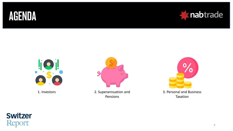





1. Investors



2. Superannuation and Pensions



Taxation

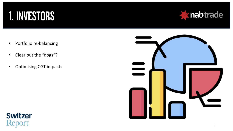#### 1. INVESTORS



- Portfolio re-balancing
- Clear out the "dogs"?
- Optimising CGT impacts



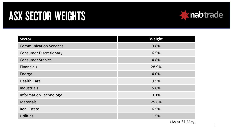#### **ASX SECTOR WEIGHTS**



| <b>Sector</b>                 | <b>Weight</b> |
|-------------------------------|---------------|
| <b>Communication Services</b> | 3.8%          |
| <b>Consumer Discretionary</b> | 6.5%          |
| <b>Consumer Staples</b>       | 4.8%          |
| <b>Financials</b>             | 28.9%         |
| Energy                        | 4.0%          |
| <b>Health Care</b>            | 9.5%          |
| Industrials                   | 5.8%          |
| <b>Information Technology</b> | 3.1%          |
| <b>Materials</b>              | 25.6%         |
| <b>Real Estate</b>            | 6.5%          |
| <b>Utilities</b>              | 1.5%          |

You can also download the presentation (As at 31 May)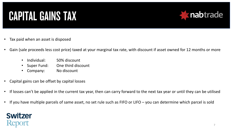### **CAPITAL GAINS TAX**



- Tax paid when an asset is disposed
- Gain (sale proceeds less cost price) taxed at your marginal tax rate, with discount if asset owned for 12 months or more
	- Individual: 50% discount
	- Super Fund: One third discount
	- Company: No discount
- Capital gains can be offset by capital losses
- If losses can't be applied in the current tax year, then can carry forward to the next tax year or until they can be utilised
- If you have multiple parcels of same asset, no set rule such as FIFO or LIFO you can determine which parcel is sold

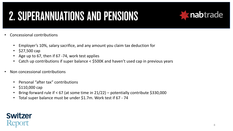### **2. SUPERANNUATIONS AND PENSIONS**



- Concessional contributions
	- Employer's 10%, salary sacrifice, and any amount you claim tax deduction for
	- \$27,500 cap
	- Age up to 67, then if 67 -74, work test applies
	- Catch up contributions if super balance < \$500K and haven't used cap in previous years
- Non concessional contributions
	- Personal "after tax" contributions
	- \$110,000 cap
	- Bring-forward rule if < 67 (at some time in 21/22) potentially contribute \$330,000
	- Total super balance must be under \$1.7m. Work test if 67 74

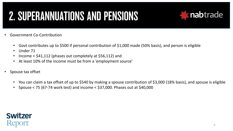### **2. SUPERANNUATIONS AND PENSIONS**



- Government Co-Contribution
	- Govt contributes up to \$500 if personal contribution of \$1,000 made (50% basis), and person is eligible
	- Under 71
	- Income < \$41,112 (phases out completely at \$56,112) and
	- At least 10% of the income must be from a 'employment source'
- Spouse tax offset
	- You can claim a tax offset of up to \$540 by making a spouse contribution of \$3,000 (18% basis), and spouse is eligible
	- Spouse < 75 (67-74 work test) and income < \$37,000. Phases out at \$40,000

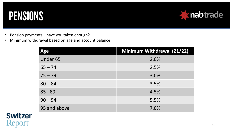#### PENSIONS



- Pension payments have you taken enough?
- Minimum withdrawal based on age and account balance

| Age          | <b>Minimum Withdrawal (21/22)</b> |
|--------------|-----------------------------------|
| Under 65     | 2.0%                              |
| $65 - 74$    | 2.5%                              |
| $75 - 79$    | 3.0%                              |
| $80 - 84$    | 3.5%                              |
| $85 - 89$    | 4.5%                              |
| $90 - 94$    | 5.5%                              |
| 95 and above | 7.0%                              |

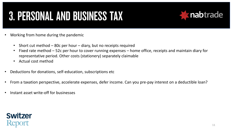### **3. PERSONAL AND BUSINESS TAX**



- Working from home during the pandemic
	- Short cut method 80c per hour diary, but no receipts required
	- Fixed rate method 52c per hour to cover running expenses home office, receipts and maintain diary for representative period. Other costs (stationery) separately claimable
	- Actual cost method
- Deductions for donations, self-education, subscriptions etc
- From a taxation perspective, accelerate expenses, defer income. Can you pre-pay interest on a deductible loan?
- Instant asset write-off for businesses